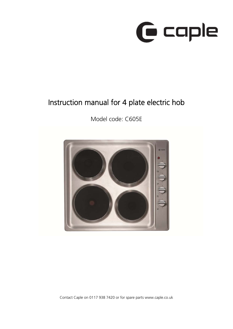

# Instruction manual for 4 plate electric hob

Model code: C605E

Contact Caple on 0117 938 7420 or for spare parts www.caple.co.uk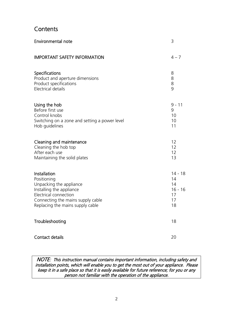# **Contents**

| <b>Environmental note</b>                     | 3         |
|-----------------------------------------------|-----------|
| <b>IMPORTANT SAFETY INFORMATION</b>           | $4 - 7$   |
| <b>Specifications</b>                         | 8         |
| Product and aperture dimensions               | 8         |
| Product specifications                        | 8         |
| Electrical details                            | 9         |
| Using the hob                                 | $9 - 11$  |
| Before first use                              | 9         |
| Control knobs                                 | 10        |
| Switching on a zone and setting a power level | 10        |
| Hob guidelines                                | 11        |
| Cleaning and maintenance                      | 12        |
| Cleaning the hob top                          | 12        |
| After each use                                | 12        |
| Maintaining the solid plates                  | 13        |
| Installation                                  | $14 - 18$ |
| Positioning                                   | 14        |
| Unpacking the appliance                       | 14        |
| Installing the appliance                      | $16 - 16$ |
| Electrical connection                         | 17        |
| Connecting the mains supply cable             | 17        |
| Replacing the mains supply cable              | 18        |
| Troubleshooting                               | 18        |
| Contact details                               | 20        |

NOTE: This instruction manual contains important information, including safety and installation points, which will enable you to get the most out of your appliance. Please keep it in a safe place so that it is easily available for future reference; for you or any person not familiar with the operation of the appliance.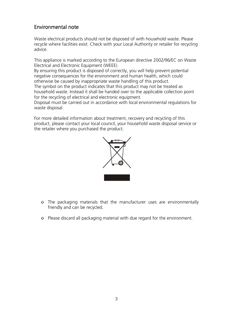### Environmental note

Waste electrical products should not be disposed of with household waste. Please recycle where facilities exist. Check with your Local Authority or retailer for recycling advice.

This appliance is marked according to the European directive 2002/96/EC on Waste Electrical and Electronic Equipment (WEEE).

By ensuring this product is disposed of correctly, you will help prevent potential negative consequences for the environment and human health, which could otherwise be caused by inappropriate waste handling of this product. The symbol on the product indicates that this product may not be treated as household waste. Instead it shall be handed over to the applicable collection point for the recycling of electrical and electronic equipment.

Disposal must be carried out in accordance with local environmental regulations for waste disposal.

For more detailed information about treatment, recovery and recycling of this product, please contact your local council, your household waste disposal service or the retailer where you purchased the product.



- o The packaging materials that the manufacturer uses are environmentally friendly and can be recycled.
- o Please discard all packaging material with due regard for the environment.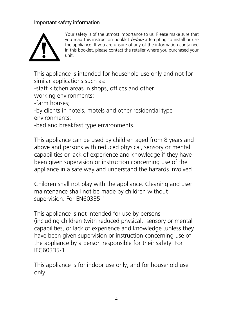# Important safety information



Your safety is of the utmost importance to us. Please make sure that you read this instruction booklet **before** attempting to install or use the appliance. If you are unsure of any of the information contained in this booklet, please contact the retailer where you purchased your unit.

This appliance is intended for household use only and not for similar applications such as:

-staff kitchen areas in shops, offices and other working environments;

-farm houses;

-by clients in hotels, motels and other residential type environments;

-bed and breakfast type environments.

This appliance can be used by children aged from 8 years and above and persons with reduced physical, sensory or mental capabilities or lack of experience and knowledge if they have been given supervision or instruction concerning use of the appliance in a safe way and understand the hazards involved.

Children shall not play with the appliance. Cleaning and user maintenance shall not be made by children without supervision. For EN60335-1

This appliance is not intended for use by persons (including children )with reduced physical, sensory or mental capabilities, or lack of experience and knowledge ,unless they have been given supervision or instruction concerning use of the appliance by a person responsible for their safety. For IEC60335-1

This appliance is for indoor use only, and for household use only.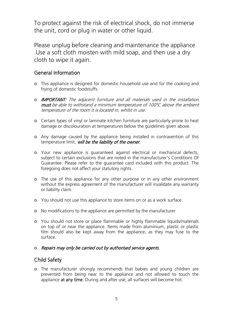To protect against the risk of electrical shock, do not immerse the unit, cord or plug in water or other liquid.

Please unplug before cleaning and maintenance the appliance .Use a soft cloth moisten with mild soap, and then use a dry cloth to wipe it again.

#### General Information

- o This appliance is designed for domestic household use and for the cooking and frying of domestic foodstuffs.
- o IMPORTANT: The adjacent furniture and all materials used in the installation must be able to withstand a minimum temperature of 100°C above the ambient temperature of the room it is located in, whilst in use.
- o Certain types of vinyl or laminate kitchen furniture are particularly prone to heat damage or discolouration at temperatures below the guidelines given above.
- o Any damage caused by the appliance being installed in contravention of this temperature limit, will be the liability of the owner.
- o Your new appliance is guaranteed against electrical or mechanical defects, subject to certain exclusions that are noted in the manufacturer's Conditions Of Guarantee. Please refer to the guarantee card included with this product. The foregoing does not affect your statutory rights.
- o The use of this appliance for any other purpose or in any other environment without the express agreement of the manufacturer will invalidate any warranty or liability claim.
- o You should not use this appliance to store items on or as a work surface.
- o No modifications to the appliance are permitted by the manufacturer
- o You should not store or place flammable or highly flammable liquids/materials on top of or near the appliance. Items made from aluminium, plastic or plastic film should also be kept away from the appliance, as they may fuse to the surface.
- o Repairs may only be carried out by authorised service agents.

#### Child Safety

o The manufacturer strongly recommends that babies and young children are prevented from being near to the appliance and not allowed to touch the appliance at any time. During and after use, all surfaces will become hot.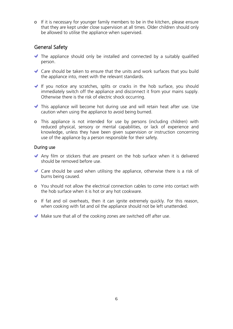o If it is necessary for younger family members to be in the kitchen, please ensure that they are kept under close supervision at all times. Older children should only be allowed to utilise the appliance when supervised.

#### General Safety

- $\blacktriangleright$  The appliance should only be installed and connected by a suitably qualified person.
- Care should be taken to ensure that the units and work surfaces that you build the appliance into, meet with the relevant standards.
- If you notice any scratches, splits or cracks in the hob surface, you should immediately switch off the appliance and disconnect it from your mains supply. Otherwise there is the risk of electric shock occurring.
- This appliance will become hot during use and will retain heat after use. Use caution when using the appliance to avoid being burned.
- o This appliance is not intended for use by persons (including children) with reduced physical, sensory or mental capabilities, or lack of experience and knowledge, unless they have been given supervision or instruction concerning use of the appliance by a person responsible for their safety.

#### During use

- Any film or stickers that are present on the hob surface when it is delivered should be removed before use.
- $\blacktriangleright$  Care should be used when utilising the appliance, otherwise there is a risk of burns being caused.
- o You should not allow the electrical connection cables to come into contact with the hob surface when it is hot or any hot cookware.
- o If fat and oil overheats, then it can ignite extremely quickly. For this reason, when cooking with fat and oil the appliance should not be left unattended.
- $\blacktriangleright$  Make sure that all of the cooking zones are switched off after use.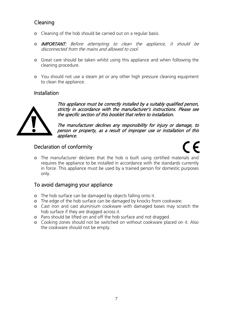# Cleaning

- o Cleaning of the hob should be carried out on a regular basis.
- o IMPORTANT: Before attempting to clean the appliance, it should be disconnected from the mains and allowed to cool.
- o Great care should be taken whilst using this appliance and when following the cleaning procedure.
- o You should not use a steam jet or any other high pressure cleaning equipment to clean the appliance.

#### Installation



This appliance must be correctly installed by a suitably qualified person, strictly in accordance with the manufacturer's instructions. Please see the specific section of this booklet that refers to installation.

The manufacturer declines any responsibility for injury or damage, to person or property, as a result of improper use or installation of this appliance.

### Declaration of conformity

o The manufacturer declares that the hob is built using certified materials and requires the appliance to be installed in accordance with the standards currently in force. This appliance must be used by a trained person for domestic purposes only.

# To avoid damaging your appliance

- o The hob surface can be damaged by objects falling onto it.
- o The edge of the hob surface can be damaged by knocks from cookware.
- o Cast iron and cast aluminium cookware with damaged bases may scratch the hob surface if they are dragged across it.
- o Pans should be lifted on and off the hob surface and not dragged.
- o Cooking zones should not be switched on without cookware placed on it. Also the cookware should not be empty.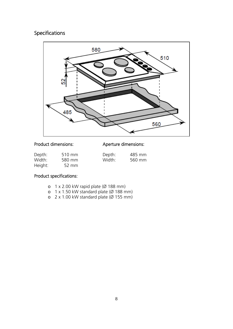# Specifications



#### Product dimensions:

#### Aperture dimensions:

| Depth:  | 510 mm | Depth: | 485 mm |
|---------|--------|--------|--------|
| Width:  | 580 mm | Width: | 560 mm |
| Height: | 52 mm  |        |        |

#### Product specifications:

- o 1 x 2.00 kW rapid plate (Ø 188 mm)
- o 1 x 1.50 kW standard plate (Ø 188 mm)
- o 2 x 1.00 kW standard plate (Ø 155 mm)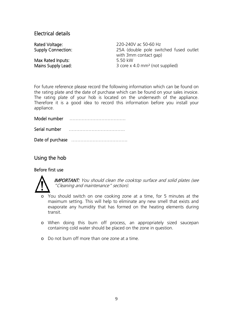#### Electrical details

Max Rated Inputs: 5.50 kW

Rated Voltage: 220-240V ac 50-60 Hz Supply Connection: 25A (double pole switched fused outlet with 3mm contact gap) Mains Supply Lead: 3 core x 4.0 mm<sup>2</sup> (not supplied)

For future reference please record the following information which can be found on the rating plate and the date of purchase which can be found on your sales invoice. The rating plate of your hob is located on the underneath of the appliance. Therefore it is a good idea to record this information before you install your appliance.

Model number ……………………………….

| Serial number |  |
|---------------|--|
|---------------|--|

Date of purchase ……………………………….

Using the hob

#### Before first use



**IMPORTANT:** You should clean the cooktop surface and solid plates (see "Cleaning and maintenance" section).

- o You should switch on one cooking zone at a time, for 5 minutes at the maximum setting. This will help to eliminate any new smell that exists and evaporate any humidity that has formed on the heating elements during transit.
- o When doing this burn off process, an appropriately sized saucepan containing cold water should be placed on the zone in question.
- o Do not burn off more than one zone at a time.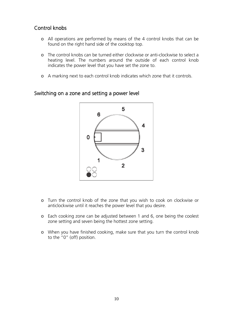#### Control knobs

- o All operations are performed by means of the 4 control knobs that can be found on the right hand side of the cooktop top.
- o The control knobs can be turned either clockwise or anti-clockwise to select a heating level. The numbers around the outside of each control knob indicates the power level that you have set the zone to.
- o A marking next to each control knob indicates which zone that it controls.



#### Switching on a zone and setting a power level

- o Turn the control knob of the zone that you wish to cook on clockwise or anticlockwise until it reaches the power level that you desire.
- o Each cooking zone can be adjusted between 1 and 6, one being the coolest zone setting and seven being the hottest zone setting.
- o When you have finished cooking, make sure that you turn the control knob to the "0" (off) position.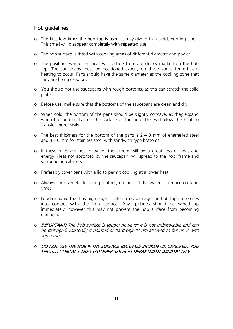#### Hob guidelines

- o The first few times the hob top is used, it may give off an acrid, burning smell. This smell will disappear completely with repeated use.
- o The hob surface is fitted with cooking areas of different diametre and power.
- o The positions where the heat will radiate from are clearly marked on the hob top. The saucepans must be positioned exactly on these zones for efficient heating to occur. Pans should have the same diameter as the cooking zone that they are being used on.
- o You should not use saucepans with rough bottoms, as this can scratch the solid plates.
- o Before use, make sure that the bottoms of the saucepans are clean and dry.
- o When cold, the bottom of the pans should be slightly concave, as they expand when hot and lie flat on the surface of the hob. This will allow the heat to transfer more easily.
- $\circ$  The best thickness for the bottom of the pans is 2 3 mm of enamelled steel and 4 – 6 mm for stainless steel with sandwich type bottoms.
- o If these rules are not followed, then there will be a great loss of heat and energy. Heat not absorbed by the saucepan, will spread to the hob, frame and surrounding cabinets.
- o Preferably cover pans with a lid to permit cooking at a lower heat.
- o Always cook vegetables and potatoes, etc. in as little water to reduce cooking times.
- o Food or liquid that has high sugar content may damage the hob top if it comes into contact with the hob surface. Any spillages should be wiped up immediately, however this may not prevent the hob surface from becoming damaged.
- o IMPORTANT: The hob surface is tough; however it is not unbreakable and can be damaged. Especially if pointed or hard objects are allowed to fall on it with some force.

#### o DO NOT USE THE HOB IF THE SURFACE BECOMES BROKEN OR CRACKED. YOU SHOULD CONTACT THE CUSTOMER SERVICES DEPARTMENT IMMEDIATELY.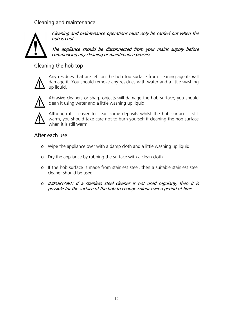### Cleaning and maintenance



Cleaning and maintenance operations must only be carried out when the hob is cool.

The appliance should be disconnected from your mains supply before commencing any cleaning or maintenance process.

#### Cleaning the hob top



Any residues that are left on the hob top surface from cleaning agents will damage it. You should remove any residues with water and a little washing up liquid.



Abrasive cleaners or sharp objects will damage the hob surface; you should clean it using water and a little washing up liquid.



Although it is easier to clean some deposits whilst the hob surface is still warm, you should take care not to burn yourself if cleaning the hob surface when it is still warm.

#### After each use

- o Wipe the appliance over with a damp cloth and a little washing up liquid.
- o Dry the appliance by rubbing the surface with a clean cloth.
- o If the hob surface is made from stainless steel, then a suitable stainless steel cleaner should be used.
- o IMPORTANT: If a stainless steel cleaner is not used regularly, then it is possible for the surface of the hob to change colour over a period of time.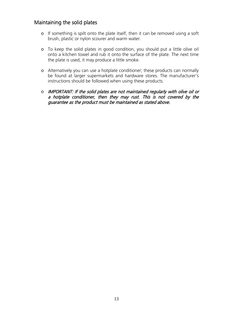#### Maintaining the solid plates

- o If something is spilt onto the plate itself, then it can be removed using a soft brush, plastic or nylon scourer and warm water.
- o To keep the solid plates in good condition, you should put a little olive oil onto a kitchen towel and rub it onto the surface of the plate. The next time the plate is used, it may produce a little smoke.
- o Alternatively you can use a hotplate conditioner; these products can normally be found at larger supermarkets and hardware stores. The manufacturer's instructions should be followed when using these products.
- o IMPORTANT: If the solid plates are not maintained regularly with olive oil or a hotplate conditioner, then they may rust. This is not covered by the guarantee as the product must be maintained as stated above.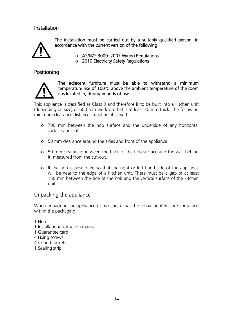#### Installation



The installation must be carried out by a suitably qualified person, in accordance with the current version of the following.

> o AS/NZS 3000: 2007 Wiring Regulations o 2010 Electricity Safety Regulations

#### Positioning



The adjacent furniture must be able to withstand a minimum temperature rise of 100°C above the ambient temperature of the room it is located in, during periods of use.

This appliance is classified as Class 3 and therefore is to be built into a kitchen unit (depending on size) or 600 mm worktop that is at least 30 mm thick. The following minimum clearance distances must be observed:-

- o 700 mm between the hob surface and the underside of any horizontal surface above it.
- o 50 mm clearance around the sides and front of the appliance.
- o 50 mm clearance between the back of the hob surface and the wall behind it, measured from the cut-out.
- o If the hob is positioned so that the right or left hand side of the appliance will be near to the edge of a kitchen unit. There must be a gap of at least 150 mm between the side of the hob and the vertical surface of the kitchen unit.

#### Unpacking the appliance

When unpacking the appliance please check that the following items are contained within the packaging:

1 Hob

- 1 Installation/instruction manual
- 1 Guarantee card
- 4 Fixing screws
- 4 fixing brackets
- 1 Sealing strip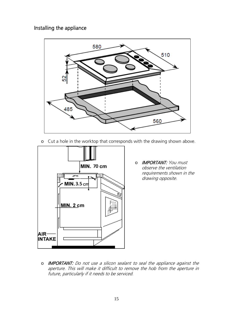#### Installing the appliance



o Cut a hole in the worktop that corresponds with the drawing shown above.



o IMPORTANT: You must observe the ventilation requirements shown in the drawing opposite.

o IMPORTANT: Do not use a silicon sealant to seal the appliance against the aperture. This will make it difficult to remove the hob from the aperture in future, particularly if it needs to be serviced.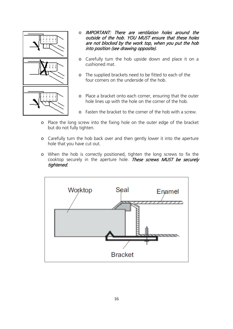

- o IMPORTANT: There are ventilation holes around the outside of the hob. YOU MUST ensure that these holes are not blocked by the work top, when you put the hob into position (see drawing opposite).
- o Carefully turn the hob upside down and place it on a cushioned mat.
- o The supplied brackets need to be fitted to each of the four corners on the underside of the hob.
- o Place a bracket onto each corner, ensuring that the outer hole lines up with the hole on the corner of the hob.
- o Fasten the bracket to the corner of the hob with a screw.
- o Place the long screw into the fixing hole on the outer edge of the bracket but do not fully tighten.
- o Carefully turn the hob back over and then gently lower it into the aperture hole that you have cut out.
- o When the hob is correctly positioned, tighten the long screws to fix the cooktop securely in the aperture hole. These screws MUST be securely tightened.

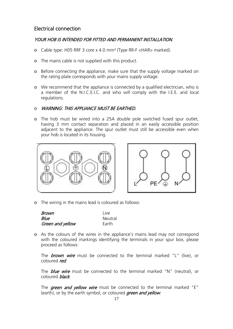#### Electrical connection

#### YOUR HOB IS INTENDED FOR FITTED AND PERMANENT INSTALLATION.

- o Cable type: H05 RRF 3 core x 4.0 mm² (Type RR-F <HAR> marked).
- o The mains cable is not supplied with this product.
- o Before connecting the appliance, make sure that the supply voltage marked on the rating plate corresponds with your mains supply voltage.
- o We recommend that the appliance is connected by a qualified electrician, who is a member of the N.I.C.E.I.C. and who will comply with the I.E.E. and local regulations.

#### o WARNING: THIS APPLIANCE MUST BE EARTHED.

o The hob must be wired into a 25A double pole switched fused spur outlet, having 3 mm contact separation and placed in an easily accessible position adjacent to the appliance. The spur outlet must still be accessible even when your hob is located in its housing.





o The wiring in the mains lead is coloured as follows:

| Brown            | l ive   |
|------------------|---------|
| Blue             | Neutral |
| Green and yellow | Earth   |

o As the colours of the wires in the appliance's mains lead may not correspond with the coloured markings identifying the terminals in your spur box, please proceed as follows:

The **brown wire** must be connected to the terminal marked "L" (live), or coloured red.

The **blue wire** must be connected to the terminal marked "N" (neutral), or coloured black.

The green and yellow wire must be connected to the terminal marked "E" (earth), or by the earth symbol, or coloured *green and yellow*.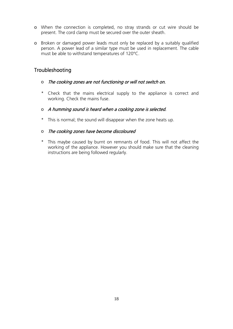- o When the connection is completed, no stray strands or cut wire should be present. The cord clamp must be secured over the outer sheath.
- o Broken or damaged power leads must only be replaced by a suitably qualified person. A power lead of a similar type must be used in replacement. The cable must be able to withstand temperatures of 120°C.

#### **Troubleshooting**

- o The cooking zones are not functioning or will not switch on.
- \* Check that the mains electrical supply to the appliance is correct and working. Check the mains fuse.
- o A humming sound is heard when a cooking zone is selected.
- \* This is normal; the sound will disappear when the zone heats up.
- o The cooking zones have become discoloured
- \* This maybe caused by burnt on remnants of food. This will not affect the working of the appliance. However you should make sure that the cleaning instructions are being followed regularly.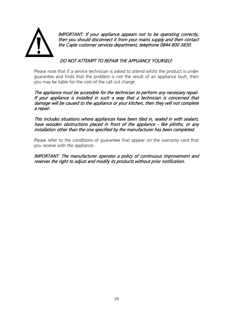

IMPORTANT: If your appliance appears not to be operating correctly, then you should disconnect it from your mains supply and then contact the Caple customer services department, telephone 0844 800 3830.

#### DO NOT ATTEMPT TO REPAIR THE APPLIANCE YOURSELF.

Please note that if a service technician is asked to attend whilst the product is under guarantee and finds that the problem is not the result of an appliance fault, then you may be liable for the cost of the call out charge.

The appliance must be accessible for the technician to perform any necessary repair. If your appliance is installed in such a way that a technician is concerned that damage will be caused to the appliance or your kitchen, then they will not complete a repair.

This includes situations where appliances have been tiled in, sealed in with sealant, have wooden obstructions placed in front of the appliance - like plinths, or any installation other than the one specified by the manufacturer has been completed.

Please refer to the conditions of guarantee that appear on the warranty card that you receive with the appliance.

IMPORTANT: The manufacturer operates a policy of continuous improvement and reserves the right to adjust and modify its products without prior notification.